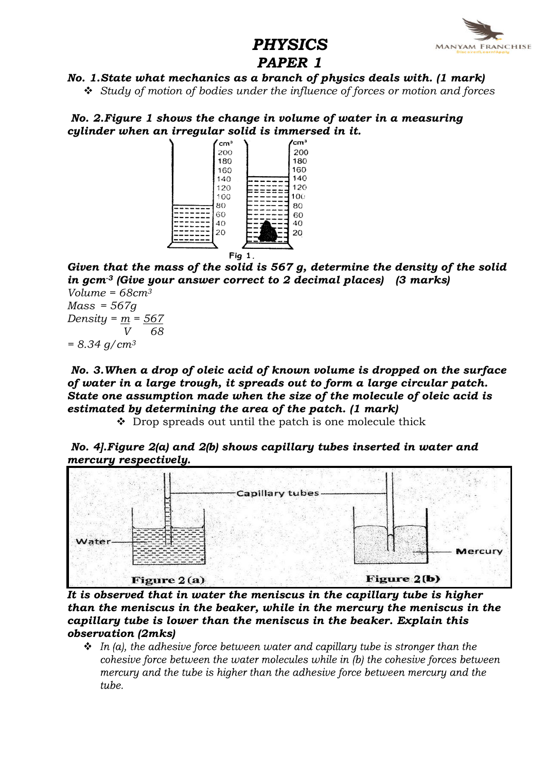

# PHYSICS PAPER 1

## No. 1.State what mechanics as a branch of physics deals with. (1 mark)

 $\div$  Study of motion of bodies under the influence of forces or motion and forces

No. 2.Figure 1 shows the change in volume of water in a measuring cylinder when an irregular solid is immersed in it.



Given that the mass of the solid is 567 g, determine the density of the solid in gcm<sup>-3</sup> (Give your answer correct to 2 decimal places) (3 marks)

Volume =  $68 \text{cm}^3$  $Mass = 567a$ Density =  $m = 567$ 68  $= 8.34$  g/cm<sup>3</sup>

No. 3.When a drop of oleic acid of known volume is dropped on the surface of water in a large trough, it spreads out to form a large circular patch. State one assumption made when the size of the molecule of oleic acid is estimated by determining the area of the patch. (1 mark)

 $\cdot$  Drop spreads out until the patch is one molecule thick





It is observed that in water the meniscus in the capillary tube is higher than the meniscus in the beaker, while in the mercury the meniscus in the capillary tube is lower than the meniscus in the beaker. Explain this observation (2mks)

 $\cdot$  In (a), the adhesive force between water and capillary tube is stronger than the cohesive force between the water molecules while in (b) the cohesive forces between mercury and the tube is higher than the adhesive force between mercury and the tube.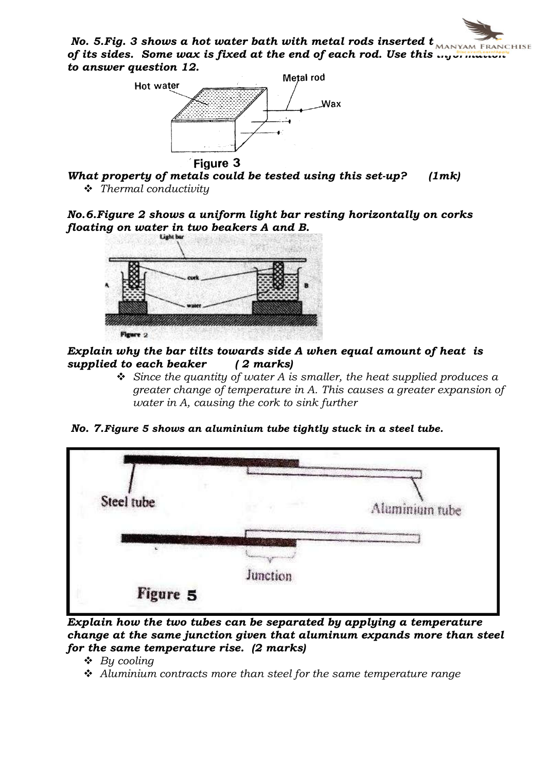No. 5. Fig. 3 shows a hot water bath with metal rods inserted  $t_{\text{MANYAM FRMCHISE}}$ of its sides. Some wax is fixed at the end of each rod. Use this  $\frac{1}{\sqrt{2}}$  indecreased to answer question 12.



What property of metals could be tested using this set-up? (1mk)  $\div$  Thermal conductivity

No.6.Figure 2 shows a uniform light bar resting horizontally on corks floating on water in two beakers A and B.



Explain why the bar tilts towards side  $A$  when equal amount of heat is supplied to each beaker  $(2 \text{ marks})$ supplied to each beaker

- $\div$  Since the quantity of water A is smaller, the heat supplied produces a greater change of temperature in A. This causes a greater expansion of water in A, causing the cork to sink further
- No. 7.Figure 5 shows an aluminium tube tightly stuck in a steel tube.



Explain how the two tubes can be separated by applying a temperature change at the same junction given that aluminum expands more than steel for the same temperature rise. (2 marks)

- $\triangleleft$  By cooling
- $\triangleleft$  Aluminium contracts more than steel for the same temperature range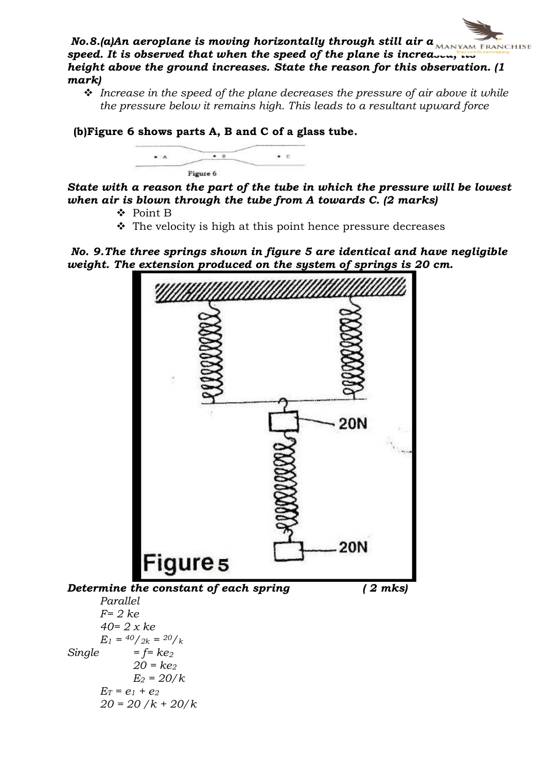

 $\cdot$  Increase in the speed of the plane decreases the pressure of air above it while the pressure below it remains high. This leads to a resultant upward force

(b)Figure 6 shows parts A, B and C of a glass tube.



State with a reason the part of the tube in which the pressure will be lowest when air is blown through the tube from A towards C. (2 marks)

- v Point B
- $\cdot$  The velocity is high at this point hence pressure decreases

No. 9.The three springs shown in figure 5 are identical and have negligible weight. The extension produced on the system of springs is 20 cm.

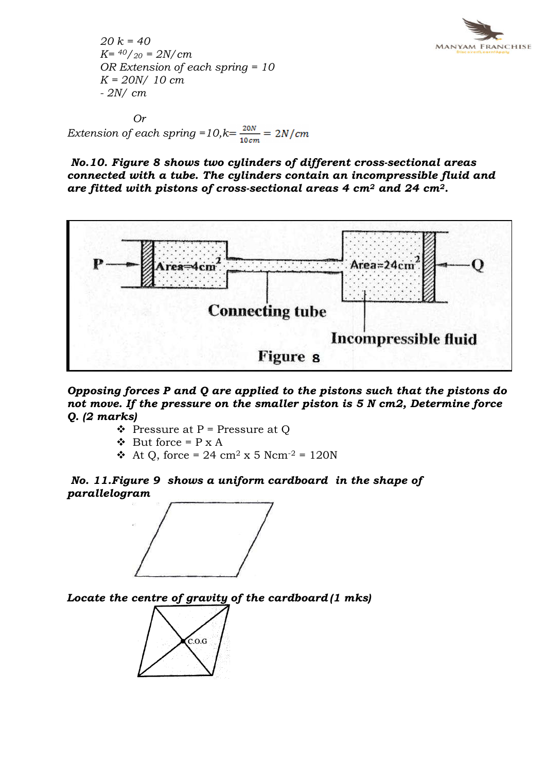

 $20 k = 40$  $K = \frac{40}{20} = \frac{2N}{cm}$ OR Extension of each spring = 10  $K = 20N/10$  cm - 2N/ cm

Or Extension of each spring =  $10, k = \frac{20N}{10 \text{ cm}} = 2N/\text{cm}$ 

No.10. Figure 8 shows two cylinders of different cross-sectional areas connected with a tube. The cylinders contain an incompressible fluid and are fitted with pistons of cross-sectional areas 4  $\text{cm}^2$  and 24  $\text{cm}^2$ .



Opposing forces P and Q are applied to the pistons such that the pistons do not move. If the pressure on the smaller piston is 5 N cm2, Determine force Q. (2 marks)

- $\triangle$  Pressure at P = Pressure at O
- $\bullet$  But force = P x A
- At Q, force = 24 cm<sup>2</sup> x 5 Ncm<sup>-2</sup> = 120N

No. 11.Figure 9 shows a uniform cardboard in the shape of parallelogram



Locate the centre of gravity of the cardboard (1 mks)

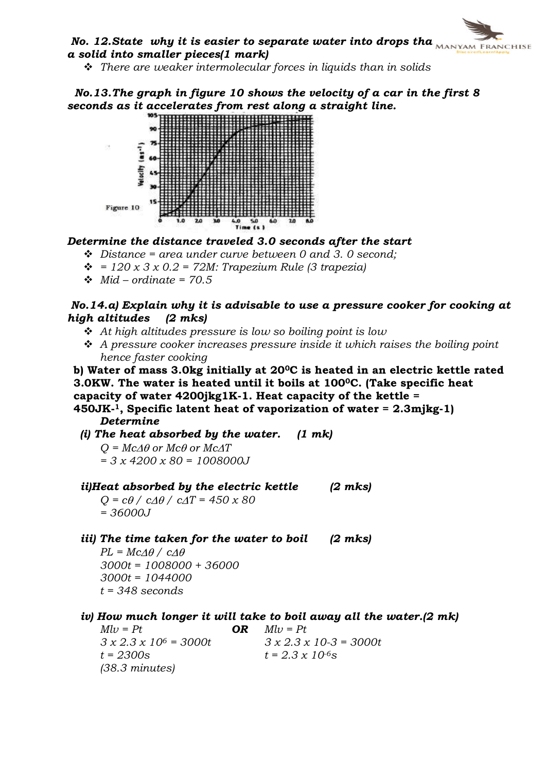# No. 12. State why it is easier to separate water into drops tha $\overbrace{N_{\text{AMANYAM FRMCHISE}}}$ a solid into smaller pieces(1 mark)

 $\hat{\mathbf{v}}$  There are weaker intermolecular forces in liquids than in solids

 No.13.The graph in figure 10 shows the velocity of a car in the first 8 seconds as it accelerates from rest along a straight line.



Determine the distance traveled 3.0 seconds after the start

- $\div$  Distance = area under curve between 0 and 3.0 second;
- $\div$  = 120 x 3 x 0.2 = 72M: Trapezium Rule (3 trapezia)
- $\div$  Mid ordinate = 70.5

### No.14.a) Explain why it is advisable to use a pressure cooker for cooking at high altitudes

- $\triangle$  At high altitudes pressure is low so boiling point is low
- $\div$  A pressure cooker increases pressure inside it which raises the boiling point hence faster cooking

b) Water of mass 3.0kg initially at 200C is heated in an electric kettle rated

3.0KW. The water is heated until it boils at 1000C. (Take specific heat

capacity of water  $4200$ jkg1K-1. Heat capacity of the kettle =

450JK-1, Specific latent heat of vaporization of water = 2.3mjkg-1) Determine

(i) The heat absorbed by the water.  $(1 \text{ mk})$ 

 $Q = McA\theta$  or  $Mc\theta$  or  $McAT$  $= 3 x 4200 x 80 = 1008000J$ 

ii)Heat absorbed by the electric kettle  $(2 \text{ mks})$ 

 $Q = c\theta / c\Delta\theta / c\Delta T = 450 \times 80$ = 36000J

iii) The time taken for the water to boil  $(2 \text{ mks})$ 

 $PL = Mc\Delta\theta / c\Delta\theta$ 3000t = 1008000 + 36000 3000t = 1044000  $t = 348$  seconds

# iv) How much longer it will take to boil away all the water.(2 mk)<br> $Mlv = Pt$  OR  $Mlv = Pt$

 $Mlv = Pt$ <br>  $3 \times 2.3 \times 10^6 = 3000t$ <br>  $3 \times 2.3 \times 10^6 = 3000t$ <br>  $3 \times 2.3 \times 10^6 = 3000t$  $3 x 2.3 x 10-3 = 3000t$  $t = 2300s$   $t = 2.3 \times 10^{-6}s$ (38.3 minutes)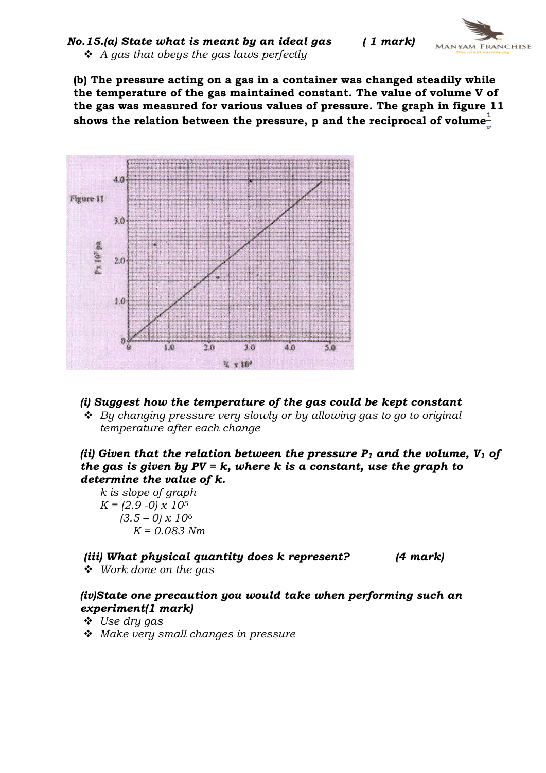$No.15.(a) State what is meant by an ideal gas$  (1 mark)  $\triangleleft$  A gas that obeys the gas laws perfectly

(b) The pressure acting on a gas in a container was changed steadily while the temperature of the gas maintained constant. The value of volume V of the gas was measured for various values of pressure. The graph in figure 11 shows the relation between the pressure,  $p$  and the reciprocal of volume $\frac{1}{p}$ 



#### (i) Suggest how the temperature of the gas could be kept constant

 $\triangleleft$  By changing pressure very slowly or by allowing gas to go to original temperature after each change

(ii) Given that the relation between the pressure  $P_1$  and the volume,  $V_1$  of the gas is given by  $PV = k$ , where k is a constant, use the graph to determine the value of k.

k is slope of graph

$$
K = \frac{(2.9 - 0) \times 10^5}{(3.5 - 0) \times 10^6}
$$

$$
K = 0.083 Nm
$$

(iii) What physical quantity does k represent? (4 mark)

 $\div$  Work done on the gas

## (iv)State one precaution you would take when performing such an experiment(1 mark)

- $\ddot{\bullet}$  Use dry gas
- $\triangleleft$  Make very small changes in pressure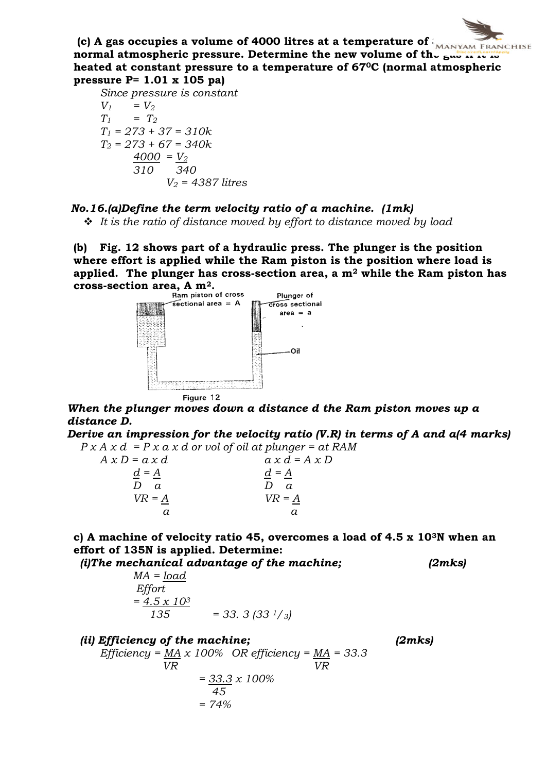

Since pressure is constant  $V_1$  =  $V_2$  $T_1$  =  $T_2$  $T_1 = 273 + 37 = 310k$  $T_2 = 273 + 67 = 340k$  $4000 = V_2$  $\frac{1}{310}$   $\frac{1}{340}$  $V_2$  = 4387 litres

#### No.16.(a)Define the term velocity ratio of a machine. (1mk)

 $\div$  It is the ratio of distance moved by effort to distance moved by load

(b) Fig. 12 shows part of a hydraulic press. The plunger is the position where effort is applied while the Ram piston is the position where load is applied. The plunger has cross-section area, a  $m<sup>2</sup>$  while the Ram piston has cross-section area, A m<sup>2</sup>.<br>Ram piston of cross



When the plunger moves down a distance d the Ram piston moves up a distance D.

Derive an impression for the velocity ratio (V.R) in terms of A and a(4 marks)  $P \times A \times d = P \times a \times d$  or vol of oil at plunger = at RAM

 $A x D = a x d$   $a x d = A x D$  $d = A$   $d = A$  $D$  a  $D$  a  $VR = \underline{A}$   $VR = \underline{A}$ a a

c) A machine of velocity ratio 45, overcomes a load of 4.5 x 103N when an effort of 135N is applied. Determine:

(i)The mechanical advantage of the machine;  $(2mks)$ 

| $=$ 33. 3 (33 $\frac{1}{3}$ ) |
|-------------------------------|
|                               |

(ii) Efficiency of the machine; (2mks) Efficiency =  $\underline{MA} \times 100\%$  OR efficiency =  $\underline{MA}$  = 33.3 VR VR  $=$  33.3  $x$  100% 45  $= 74%$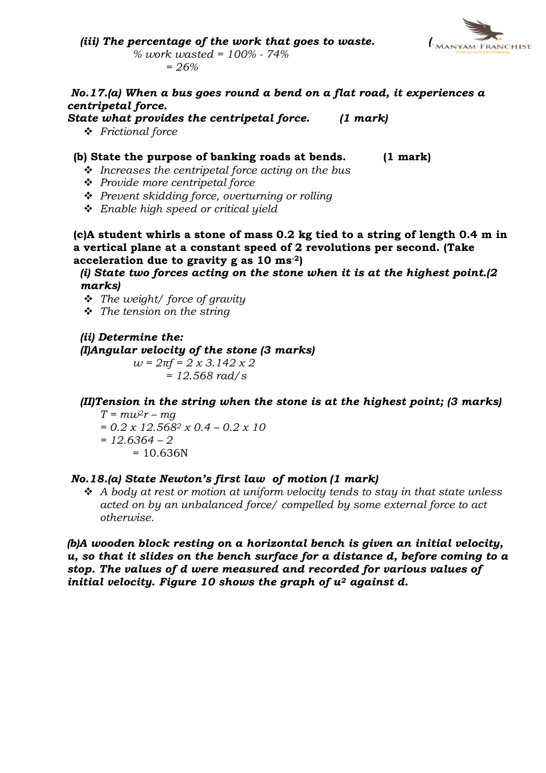

(iii) The percentage of the work that goes to waste.  $\int_{\text{MANYAM FRANCHISE}}$ % work wasted = 100% - 74%  $= 26%$ 

#### No.17.(a) When a bus goes round a bend on a flat road, it experiences a centripetal force.

State what provides the centripetal force. (1 mark)

v Frictional force

#### (b) State the purpose of banking roads at bends. (1 mark)

- $\cdot \cdot$  Increases the centripetal force acting on the bus
- $\div$  Provide more centripetal force
- $\div$  Prevent skidding force, overturning or rolling
- $\div$  Enable high speed or critical yield
- (c)A student whirls a stone of mass 0.2 kg tied to a string of length 0.4 m in a vertical plane at a constant speed of 2 revolutions per second. (Take acceleration due to gravity g as  $10 \text{ ms}^{-2}$

(i) State two forces acting on the stone when it is at the highest point.(2 marks)

- $\triangleleft$  The weight/ force of gravity
- $\div$  The tension on the string

(ii) Determine the: (I)Angular velocity of the stone (3 marks)  $w = 2\pi f = 2 \times 3.142 \times 2$  $= 12.568$  rad/s

(II)Tension in the string when the stone is at the highest point; (3 marks)

 $T = m w^2 r - m q$  $= 0.2 \times 12.568^2 \times 0.4 - 0.2 \times 10$  $= 12.6364 - 2$  $= 10.636N$ 

#### No.18.(a) State Newton's first law of motion (1 mark)

 $\div$  A body at rest or motion at uniform velocity tends to stay in that state unless acted on by an unbalanced force/ compelled by some external force to act otherwise.

(b)A wooden block resting on a horizontal bench is given an initial velocity, u, so that it slides on the bench surface for a distance d, before coming to a stop. The values of d were measured and recorded for various values of initial velocity. Figure 10 shows the graph of  $u^2$  against d.